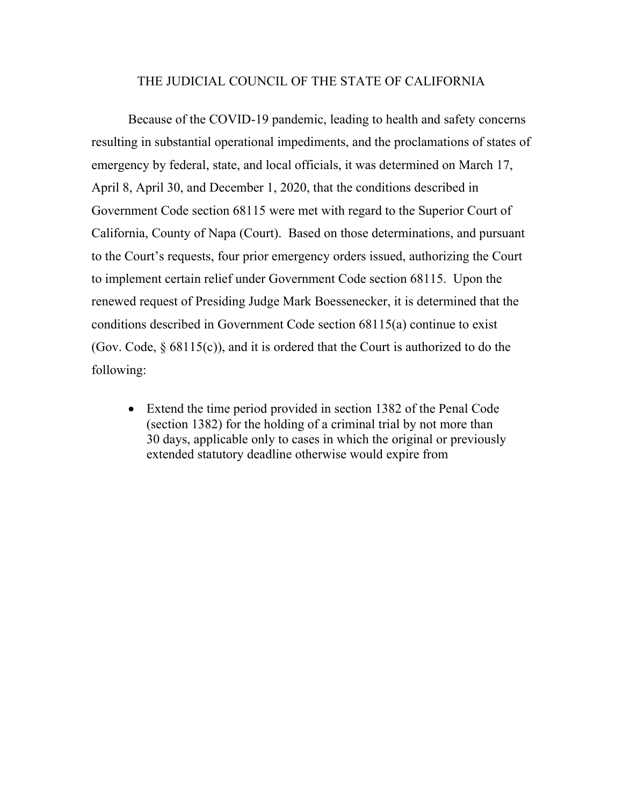## THE JUDICIAL COUNCIL OF THE STATE OF CALIFORNIA

Because of the COVID-19 pandemic, leading to health and safety concerns resulting in substantial operational impediments, and the proclamations of states of emergency by federal, state, and local officials, it was determined on March 17, April 8, April 30, and December 1, 2020, that the conditions described in Government Code section 68115 were met with regard to the Superior Court of California, County of Napa (Court). Based on those determinations, and pursuant to the Court's requests, four prior emergency orders issued, authorizing the Court to implement certain relief under Government Code section 68115. Upon the renewed request of Presiding Judge Mark Boessenecker, it is determined that the conditions described in Government Code section 68115(a) continue to exist (Gov. Code,  $\S$  68115(c)), and it is ordered that the Court is authorized to do the following:

• Extend the time period provided in section 1382 of the Penal Code (section 1382) for the holding of a criminal trial by not more than 30 days, applicable only to cases in which the original or previously extended statutory deadline otherwise would expire from